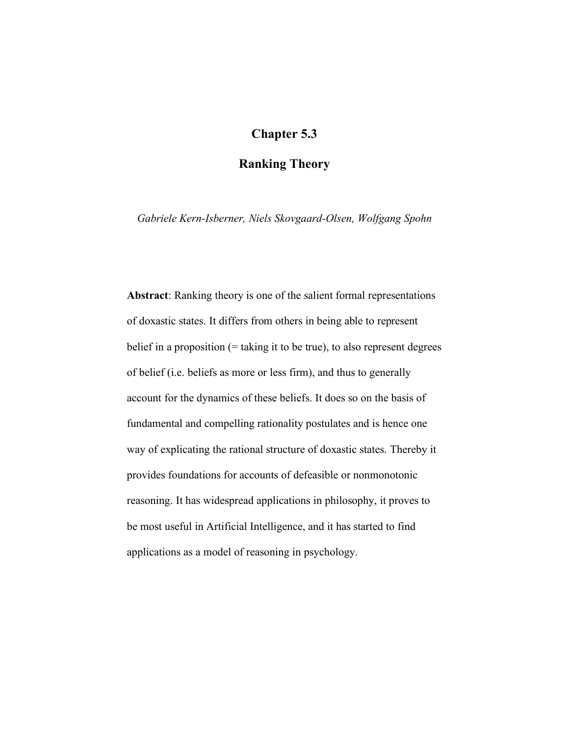# **Chapter 5.3**

## **Ranking Theory**

*Gabriele Kern-Isberner, Niels Skovgaard-Olsen, Wolfgang Spohn*

**Abstract**: Ranking theory is one of the salient formal representations of doxastic states. It differs from others in being able to represent belief in a proposition  $(=$  taking it to be true), to also represent degrees of belief (i.e. beliefs as more or less firm), and thus to generally account for the dynamics of these beliefs. It does so on the basis of fundamental and compelling rationality postulates and is hence one way of explicating the rational structure of doxastic states. Thereby it provides foundations for accounts of defeasible or nonmonotonic reasoning. It has widespread applications in philosophy, it proves to be most useful in Artificial Intelligence, and it has started to find applications as a model of reasoning in psychology.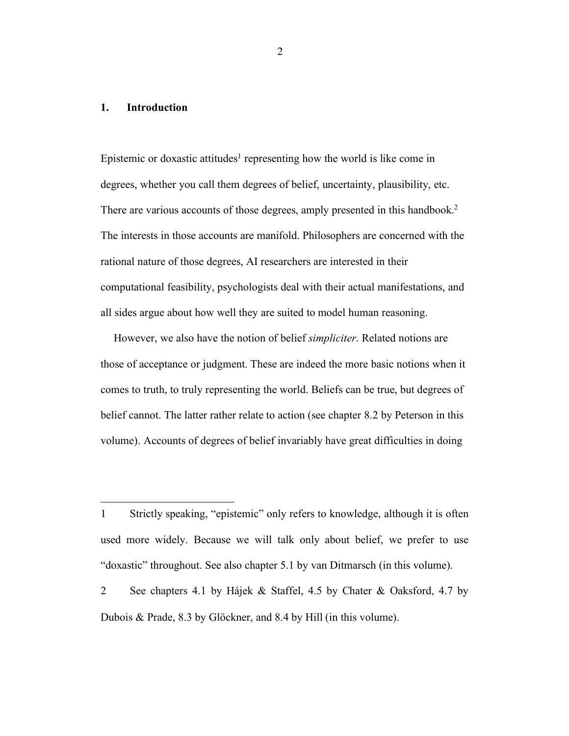## **1. Introduction**

 

Epistemic or doxastic attitudes<sup>1</sup> representing how the world is like come in degrees, whether you call them degrees of belief, uncertainty, plausibility, etc. There are various accounts of those degrees, amply presented in this handbook.<sup>2</sup> The interests in those accounts are manifold. Philosophers are concerned with the rational nature of those degrees, AI researchers are interested in their computational feasibility, psychologists deal with their actual manifestations, and all sides argue about how well they are suited to model human reasoning.

However, we also have the notion of belief *simpliciter*. Related notions are those of acceptance or judgment. These are indeed the more basic notions when it comes to truth, to truly representing the world. Beliefs can be true, but degrees of belief cannot. The latter rather relate to action (see chapter 8.2 by Peterson in this volume). Accounts of degrees of belief invariably have great difficulties in doing

<sup>1</sup> Strictly speaking, "epistemic" only refers to knowledge, although it is often used more widely. Because we will talk only about belief, we prefer to use "doxastic" throughout. See also chapter 5.1 by van Ditmarsch (in this volume).

<sup>2</sup> See chapters 4.1 by Hájek & Staffel, 4.5 by Chater & Oaksford, 4.7 by Dubois & Prade, 8.3 by Glöckner, and 8.4 by Hill (in this volume).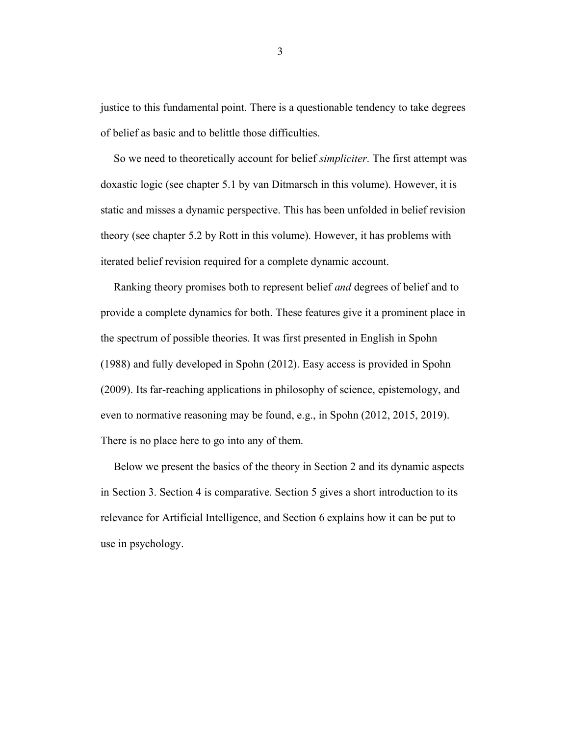justice to this fundamental point. There is a questionable tendency to take degrees of belief as basic and to belittle those difficulties.

So we need to theoretically account for belief *simpliciter*. The first attempt was doxastic logic (see chapter 5.1 by van Ditmarsch in this volume). However, it is static and misses a dynamic perspective. This has been unfolded in belief revision theory (see chapter 5.2 by Rott in this volume). However, it has problems with iterated belief revision required for a complete dynamic account.

Ranking theory promises both to represent belief *and* degrees of belief and to provide a complete dynamics for both. These features give it a prominent place in the spectrum of possible theories. It was first presented in English in Spohn (1988) and fully developed in Spohn (2012). Easy access is provided in Spohn (2009). Its far-reaching applications in philosophy of science, epistemology, and even to normative reasoning may be found, e.g., in Spohn (2012, 2015, 2019). There is no place here to go into any of them.

Below we present the basics of the theory in Section 2 and its dynamic aspects in Section 3. Section 4 is comparative. Section 5 gives a short introduction to its relevance for Artificial Intelligence, and Section 6 explains how it can be put to use in psychology.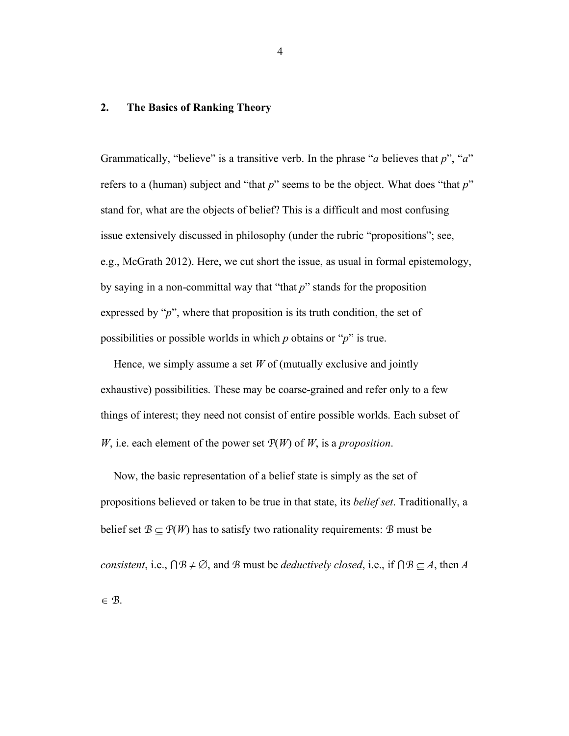## **2. The Basics of Ranking Theory**

Grammatically, "believe" is a transitive verb. In the phrase "*a* believes that *p*", "*a*" refers to a (human) subject and "that *p*" seems to be the object. What does "that *p*" stand for, what are the objects of belief? This is a difficult and most confusing issue extensively discussed in philosophy (under the rubric "propositions"; see, e.g., McGrath 2012). Here, we cut short the issue, as usual in formal epistemology, by saying in a non-committal way that "that *p*" stands for the proposition expressed by "*p*", where that proposition is its truth condition, the set of possibilities or possible worlds in which *p* obtains or "*p*" is true.

Hence, we simply assume a set *W* of (mutually exclusive and jointly exhaustive) possibilities. These may be coarse-grained and refer only to a few things of interest; they need not consist of entire possible worlds. Each subset of *W*, i.e. each element of the power set *P*(*W*) of *W*, is a *proposition*.

Now, the basic representation of a belief state is simply as the set of propositions believed or taken to be true in that state, its *belief set*. Traditionally, a belief set  $B \subseteq P(W)$  has to satisfy two rationality requirements: *B* must be *consistent*, i.e.,  $\bigcap B \neq \emptyset$ , and *B* must be *deductively closed*, i.e., if  $\bigcap B \subseteq A$ , then *A*  $\in \mathcal{B}$ .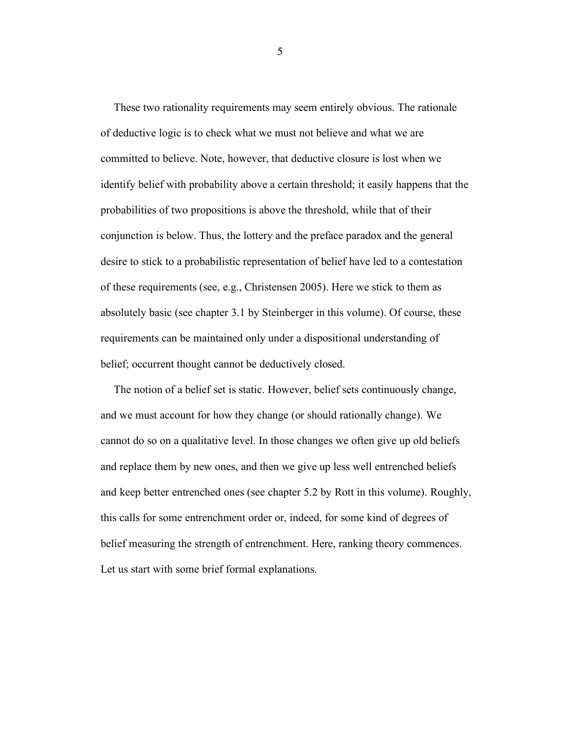These two rationality requirements may seem entirely obvious. The rationale of deductive logic is to check what we must not believe and what we are committed to believe. Note, however, that deductive closure is lost when we identify belief with probability above a certain threshold; it easily happens that the probabilities of two propositions is above the threshold, while that of their conjunction is below. Thus, the lottery and the preface paradox and the general desire to stick to a probabilistic representation of belief have led to a contestation of these requirements (see, e.g., Christensen 2005). Here we stick to them as absolutely basic (see chapter 3.1 by Steinberger in this volume). Of course, these requirements can be maintained only under a dispositional understanding of belief; occurrent thought cannot be deductively closed.

The notion of a belief set is static. However, belief sets continuously change, and we must account for how they change (or should rationally change). We cannot do so on a qualitative level. In those changes we often give up old beliefs and replace them by new ones, and then we give up less well entrenched beliefs and keep better entrenched ones (see chapter 5.2 by Rott in this volume). Roughly, this calls for some entrenchment order or, indeed, for some kind of degrees of belief measuring the strength of entrenchment. Here, ranking theory commences. Let us start with some brief formal explanations.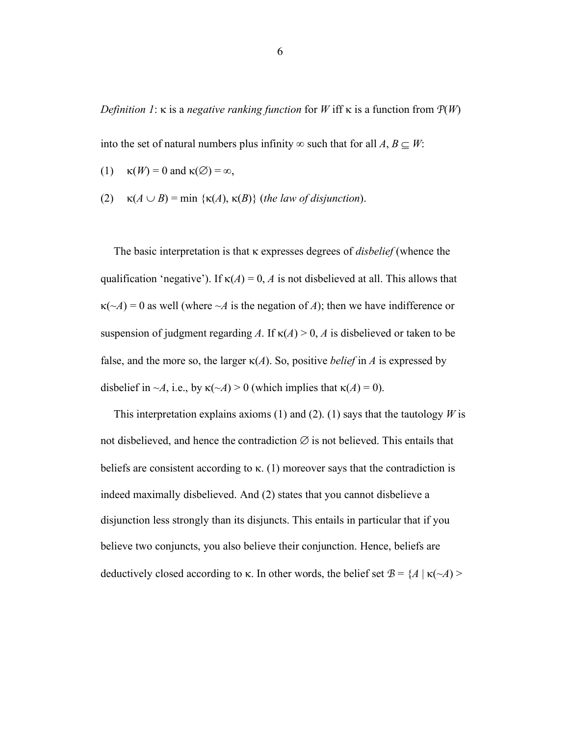*Definition 1*:  $\kappa$  is a *negative ranking function* for *W* iff  $\kappa$  is a function from  $P(W)$ 

into the set of natural numbers plus infinity  $\infty$  such that for all *A*, *B*  $\subseteq$  *W*:

- (1)  $\kappa(W) = 0$  and  $\kappa(\emptyset) = \infty$ ,
- (2)  $\kappa(A \cup B) = \min \{ \kappa(A), \kappa(B) \}$  (*the law of disjunction*).

The basic interpretation is that k expresses degrees of *disbelief* (whence the qualification 'negative'). If  $\kappa(A) = 0$ , *A* is not disbelieved at all. This allows that  $\kappa(\sim A) = 0$  as well (where  $\sim A$  is the negation of A); then we have indifference or suspension of judgment regarding *A*. If  $\kappa(A) > 0$ , *A* is disbelieved or taken to be false, and the more so, the larger  $\kappa(A)$ . So, positive *belief* in *A* is expressed by disbelief in  $\neg A$ , i.e., by  $\kappa(\neg A) > 0$  (which implies that  $\kappa(A) = 0$ ).

This interpretation explains axioms (1) and (2). (1) says that the tautology  $W$  is not disbelieved, and hence the contradiction  $\varnothing$  is not believed. This entails that beliefs are consistent according to  $\kappa$ . (1) moreover says that the contradiction is indeed maximally disbelieved. And (2) states that you cannot disbelieve a disjunction less strongly than its disjuncts. This entails in particular that if you believe two conjuncts, you also believe their conjunction. Hence, beliefs are deductively closed according to  $\kappa$ . In other words, the belief set  $\mathcal{B} = \{A \mid \kappa(\sim A)$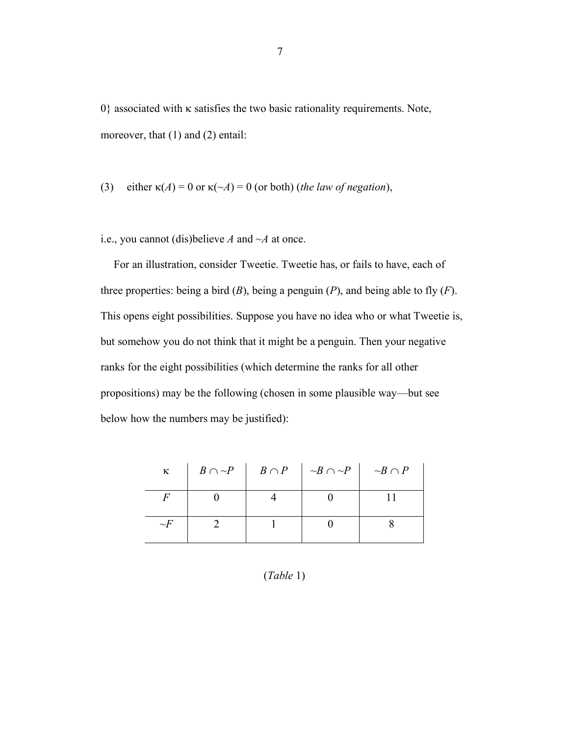$0$ } associated with  $\kappa$  satisfies the two basic rationality requirements. Note, moreover, that (1) and (2) entail:

(3) either 
$$
\kappa(A) = 0
$$
 or  $\kappa(\sim A) = 0$  (or both) (*the law of negation*),

i.e., you cannot (dis)believe *A* and *~A* at once.

For an illustration, consider Tweetie. Tweetie has, or fails to have, each of three properties: being a bird (*B*), being a penguin (*P*), and being able to fly (*F*). This opens eight possibilities. Suppose you have no idea who or what Tweetie is, but somehow you do not think that it might be a penguin. Then your negative ranks for the eight possibilities (which determine the ranks for all other propositions) may be the following (chosen in some plausible way—but see below how the numbers may be justified):

| $\kappa$ |  | $B \cap \neg P$   $B \cap P$   $\neg B \cap \neg P$   $\neg B \cap P$ |  |
|----------|--|-----------------------------------------------------------------------|--|
|          |  |                                                                       |  |
| $\sim$ F |  |                                                                       |  |

## (*Table* 1)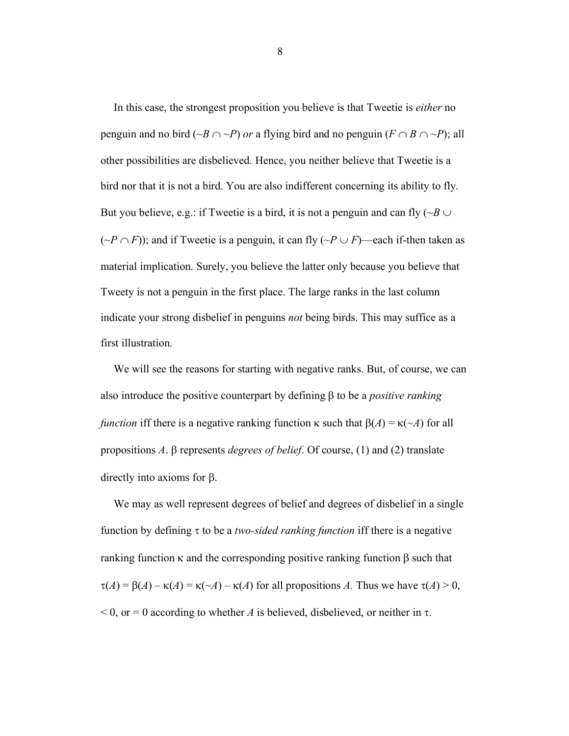In this case, the strongest proposition you believe is that Tweetie is *either* no penguin and no bird ( $\sim B \cap \sim P$ ) *or* a flying bird and no penguin ( $F \cap B \cap \sim P$ ); all other possibilities are disbelieved. Hence, you neither believe that Tweetie is a bird nor that it is not a bird. You are also indifferent concerning its ability to fly. But you believe, e.g.: if Tweetie is a bird, it is not a penguin and can fly  $(\neg B \cup$  $(\neg P \cap F)$ ; and if Tweetie is a penguin, it can fly  $(\neg P \cup F)$ —each if-then taken as material implication. Surely, you believe the latter only because you believe that Tweety is not a penguin in the first place. The large ranks in the last column indicate your strong disbelief in penguins *not* being birds. This may suffice as a first illustration.

We will see the reasons for starting with negative ranks. But, of course, we can also introduce the positive counterpart by defining  $\beta$  to be a *positive ranking function* iff there is a negative ranking function  $\kappa$  such that  $\beta(A) = \kappa(\sim A)$  for all propositions *A*.  $\beta$  represents *degrees of belief*. Of course, (1) and (2) translate directly into axioms for  $\beta$ .

We may as well represent degrees of belief and degrees of disbelief in a single function by defining t to be a *two-sided ranking function* iff there is a negative ranking function  $\kappa$  and the corresponding positive ranking function  $\beta$  such that  $\tau(A) = \beta(A) - \kappa(A) = \kappa(\sim A) - \kappa(A)$  for all propositions *A*. Thus we have  $\tau(A) > 0$ ,  $<$  0, or = 0 according to whether *A* is believed, disbelieved, or neither in  $\tau$ .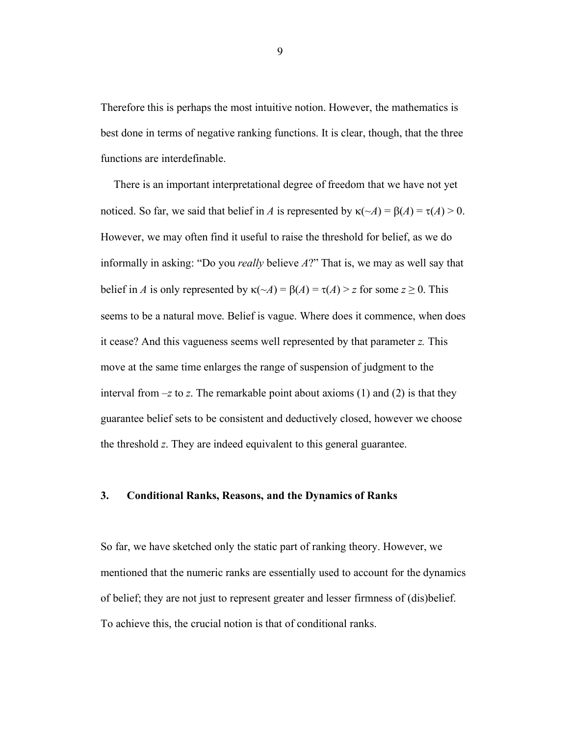Therefore this is perhaps the most intuitive notion. However, the mathematics is best done in terms of negative ranking functions. It is clear, though, that the three functions are interdefinable.

There is an important interpretational degree of freedom that we have not yet noticed. So far, we said that belief in *A* is represented by  $\kappa(\sim A) = \beta(A) = \tau(A) > 0$ . However, we may often find it useful to raise the threshold for belief, as we do informally in asking: "Do you *really* believe *A*?" That is, we may as well say that belief in *A* is only represented by  $\kappa(\sim A) = \beta(A) = \tau(A) > z$  for some  $z \ge 0$ . This seems to be a natural move. Belief is vague. Where does it commence, when does it cease? And this vagueness seems well represented by that parameter *z.* This move at the same time enlarges the range of suspension of judgment to the interval from  $-z$  to  $z$ . The remarkable point about axioms (1) and (2) is that they guarantee belief sets to be consistent and deductively closed, however we choose the threshold *z*. They are indeed equivalent to this general guarantee.

#### **3. Conditional Ranks, Reasons, and the Dynamics of Ranks**

So far, we have sketched only the static part of ranking theory. However, we mentioned that the numeric ranks are essentially used to account for the dynamics of belief; they are not just to represent greater and lesser firmness of (dis)belief. To achieve this, the crucial notion is that of conditional ranks.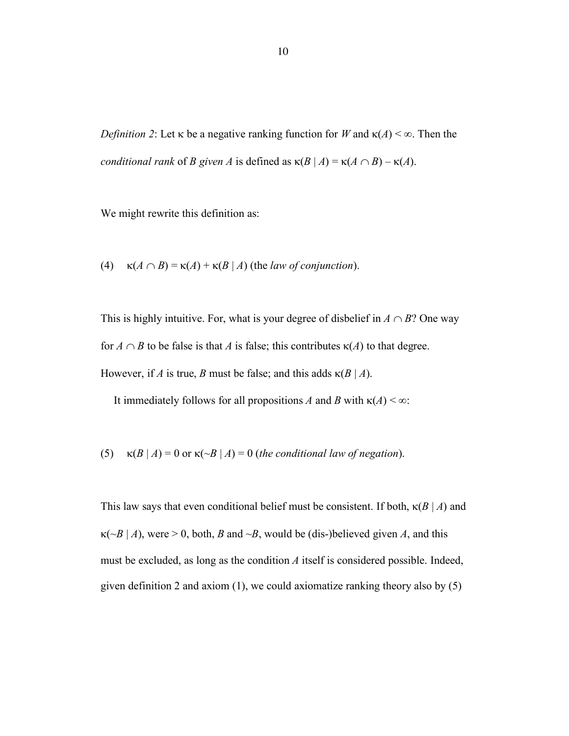*Definition 2*: Let  $\kappa$  be a negative ranking function for *W* and  $\kappa(A) < \infty$ . Then the *conditional rank* of *B* given *A* is defined as  $\kappa(B | A) = \kappa(A \cap B) - \kappa(A)$ .

We might rewrite this definition as:

(4)  $\kappa(A \cap B) = \kappa(A) + \kappa(B \mid A)$  (the *law of conjunction*).

This is highly intuitive. For, what is your degree of disbelief in  $A \cap B$ ? One way for  $A \cap B$  to be false is that *A* is false; this contributes  $\kappa(A)$  to that degree. However, if *A* is true, *B* must be false; and this adds  $\kappa(B \mid A)$ .

It immediately follows for all propositions *A* and *B* with  $\kappa(A) < \infty$ :

(5)  $\kappa(B | A) = 0$  or  $\kappa(\sim B | A) = 0$  (*the conditional law of negation*).

This law says that even conditional belief must be consistent. If both,  $\kappa(B \mid A)$  and  $\kappa$ ( $\sim$ B | A), were > 0, both, B and  $\sim$ B, would be (dis-)believed given A, and this must be excluded, as long as the condition *A* itself is considered possible. Indeed, given definition 2 and axiom (1), we could axiomatize ranking theory also by (5)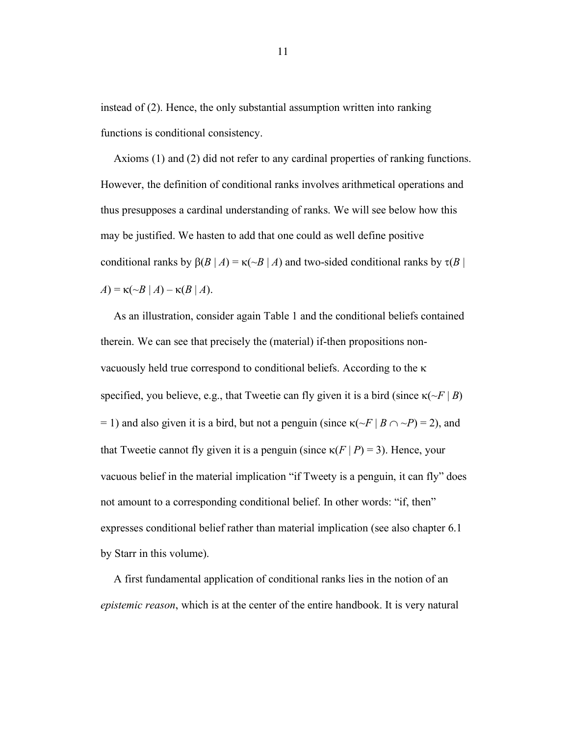instead of (2). Hence, the only substantial assumption written into ranking functions is conditional consistency.

Axioms (1) and (2) did not refer to any cardinal properties of ranking functions. However, the definition of conditional ranks involves arithmetical operations and thus presupposes a cardinal understanding of ranks. We will see below how this may be justified. We hasten to add that one could as well define positive conditional ranks by  $\beta(B \mid A) = \kappa(\neg B \mid A)$  and two-sided conditional ranks by  $\tau(B \mid A)$  $A$ ) =  $\kappa$ (~*B* | *A*) –  $\kappa$ (*B* | *A*).

As an illustration, consider again Table 1 and the conditional beliefs contained therein. We can see that precisely the (material) if-then propositions nonvacuously held true correspond to conditional beliefs. According to the  $\kappa$ specified, you believe, e.g., that Tweetie can fly given it is a bird (since  $\kappa(\sim F | B)$ ) = 1) and also given it is a bird, but not a penguin (since  $\kappa(\sim F | B \cap \sim P) = 2$ ), and that Tweetie cannot fly given it is a penguin (since  $\kappa(F | P) = 3$ ). Hence, your vacuous belief in the material implication "if Tweety is a penguin, it can fly" does not amount to a corresponding conditional belief. In other words: "if, then" expresses conditional belief rather than material implication (see also chapter 6.1 by Starr in this volume).

A first fundamental application of conditional ranks lies in the notion of an *epistemic reason*, which is at the center of the entire handbook. It is very natural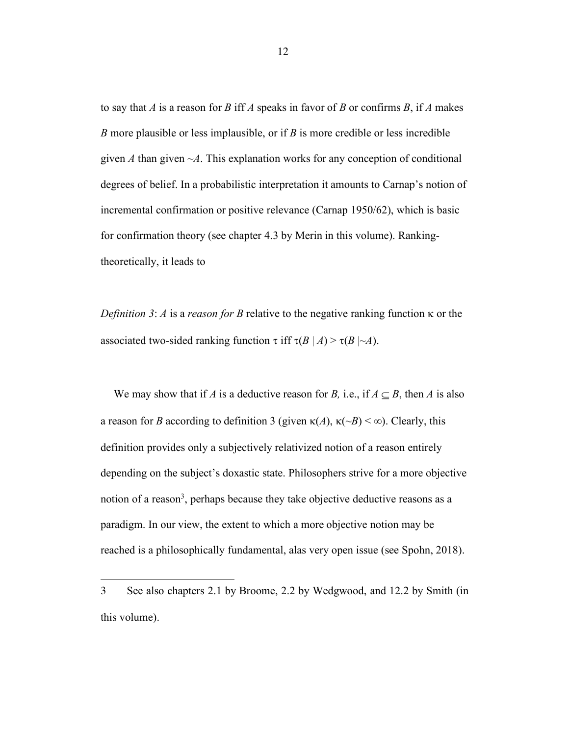to say that *A* is a reason for *B* iff *A* speaks in favor of *B* or confirms *B*, if *A* makes *B* more plausible or less implausible, or if *B* is more credible or less incredible given *A* than given  $\neg A$ . This explanation works for any conception of conditional degrees of belief. In a probabilistic interpretation it amounts to Carnap's notion of incremental confirmation or positive relevance (Carnap 1950/62), which is basic for confirmation theory (see chapter 4.3 by Merin in this volume). Rankingtheoretically, it leads to

*Definition 3: A* is a *reason for B* relative to the negative ranking function  $\kappa$  or the associated two-sided ranking function  $\tau$  iff  $\tau(B | A) > \tau(B | \neg A)$ .

We may show that if *A* is a deductive reason for *B*, i.e., if  $A \subseteq B$ , then *A* is also a reason for *B* according to definition 3 (given  $\kappa(A)$ ,  $\kappa(\neg B) \le \infty$ ). Clearly, this definition provides only a subjectively relativized notion of a reason entirely depending on the subject's doxastic state. Philosophers strive for a more objective notion of a reason<sup>3</sup>, perhaps because they take objective deductive reasons as a paradigm. In our view, the extent to which a more objective notion may be reached is a philosophically fundamental, alas very open issue (see Spohn, 2018).

<sup>3</sup> See also chapters 2.1 by Broome, 2.2 by Wedgwood, and 12.2 by Smith (in this volume).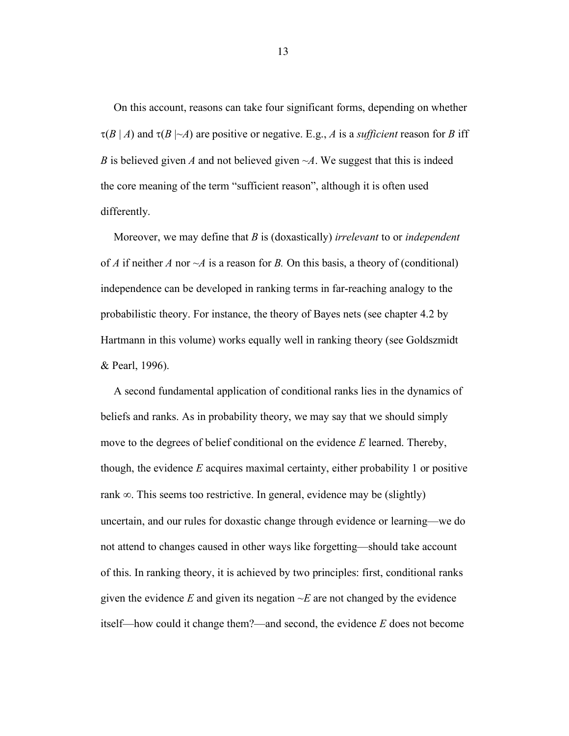On this account, reasons can take four significant forms, depending on whether  $\tau(B \mid A)$  and  $\tau(B \mid \neg A)$  are positive or negative. E.g., *A* is a *sufficient* reason for *B* iff *B* is believed given *A* and not believed given *~A*. We suggest that this is indeed the core meaning of the term "sufficient reason", although it is often used differently.

Moreover, we may define that *B* is (doxastically) *irrelevant* to or *independent*  of *A* if neither *A* nor  $\neg A$  is a reason for *B*. On this basis, a theory of (conditional) independence can be developed in ranking terms in far-reaching analogy to the probabilistic theory. For instance, the theory of Bayes nets (see chapter 4.2 by Hartmann in this volume) works equally well in ranking theory (see Goldszmidt & Pearl, 1996).

A second fundamental application of conditional ranks lies in the dynamics of beliefs and ranks. As in probability theory, we may say that we should simply move to the degrees of belief conditional on the evidence *E* learned. Thereby, though, the evidence *E* acquires maximal certainty, either probability 1 or positive rank  $\infty$ . This seems too restrictive. In general, evidence may be (slightly) uncertain, and our rules for doxastic change through evidence or learning—we do not attend to changes caused in other ways like forgetting—should take account of this. In ranking theory, it is achieved by two principles: first, conditional ranks given the evidence  $E$  and given its negation  $\neg E$  are not changed by the evidence itself—how could it change them?—and second, the evidence *E* does not become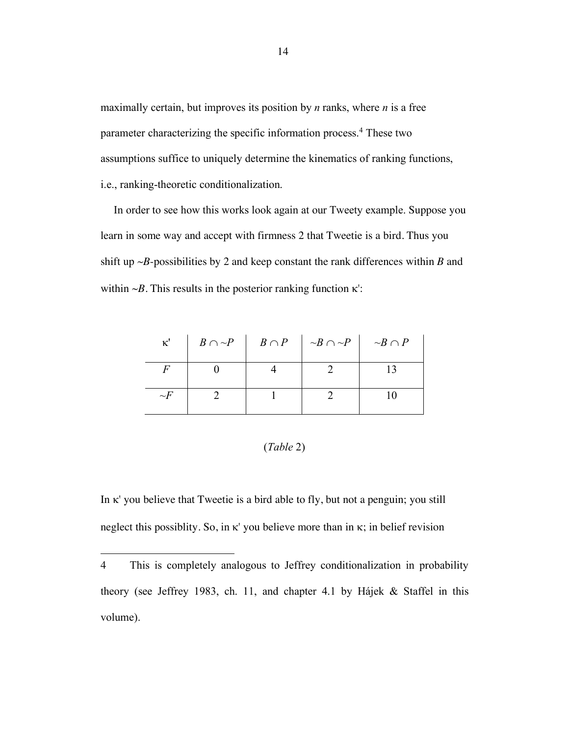maximally certain, but improves its position by *n* ranks, where *n* is a free parameter characterizing the specific information process.4 These two assumptions suffice to uniquely determine the kinematics of ranking functions, i.e., ranking-theoretic conditionalization.

In order to see how this works look again at our Tweety example. Suppose you learn in some way and accept with firmness 2 that Tweetie is a bird. Thus you shift up *~B*-possibilities by 2 and keep constant the rank differences within *B* and within  $\sim$ *B*. This results in the posterior ranking function  $\kappa$ <sup>'</sup>:

| $\kappa$ <sup>'</sup> |  | $B \cap \neg P$   $B \cap P$   $\neg B \cap \neg P$   $\neg B \cap P$ |  |
|-----------------------|--|-----------------------------------------------------------------------|--|
|                       |  |                                                                       |  |
| $\sim$ F              |  |                                                                       |  |

## (*Table* 2)

In  $\kappa$ ' you believe that Tweetie is a bird able to fly, but not a penguin; you still neglect this possiblity. So, in  $\kappa$ ' you believe more than in  $\kappa$ ; in belief revision

<sup>4</sup> This is completely analogous to Jeffrey conditionalization in probability theory (see Jeffrey 1983, ch. 11, and chapter 4.1 by Hájek & Staffel in this volume).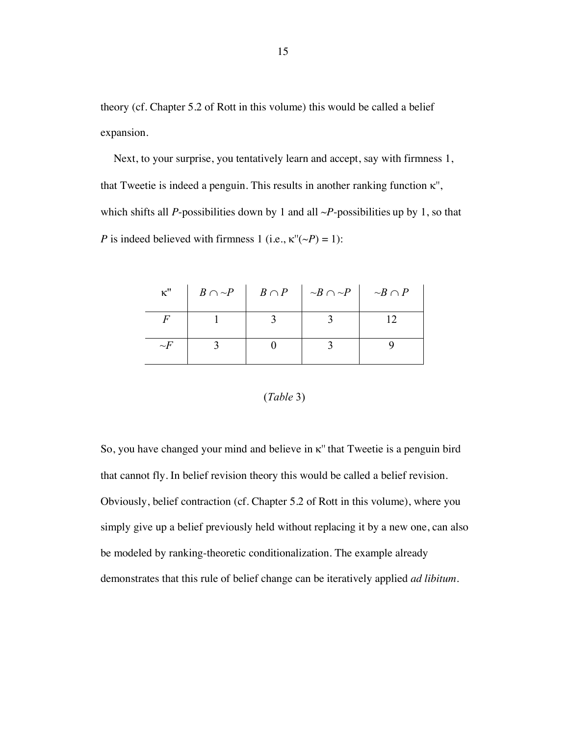theory (cf. Chapter 5.2 of Rott in this volume) this would be called a belief expansion.

Next, to your surprise, you tentatively learn and accept, say with firmness 1, that Tweetie is indeed a penguin. This results in another ranking function  $\kappa$ ", which shifts all *P*-possibilities down by 1 and all *~P*-possibilities up by 1, so that *P* is indeed believed with firmness 1 (i.e.,  $\kappa''(-P) = 1$ ):

| $\kappa$ " |  | $B \cap \neg P$   $B \cap P$   $\neg B \cap \neg P$   $\neg B \cap P$ |  |
|------------|--|-----------------------------------------------------------------------|--|
|            |  |                                                                       |  |
| $\sim$ F   |  |                                                                       |  |

#### (*Table* 3)

So, you have changed your mind and believe in  $\kappa$ " that Tweetie is a penguin bird that cannot fly. In belief revision theory this would be called a belief revision. Obviously, belief contraction (cf. Chapter 5.2 of Rott in this volume), where you simply give up a belief previously held without replacing it by a new one, can also be modeled by ranking-theoretic conditionalization. The example already demonstrates that this rule of belief change can be iteratively applied *ad libitum*.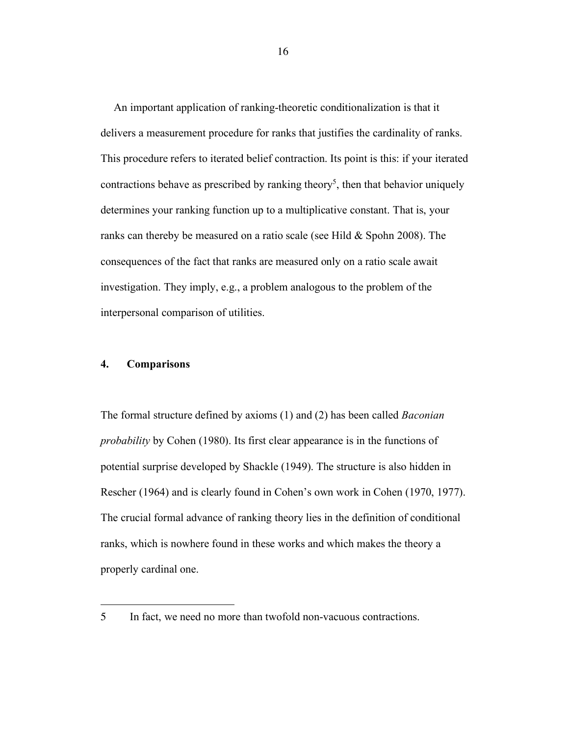An important application of ranking-theoretic conditionalization is that it delivers a measurement procedure for ranks that justifies the cardinality of ranks. This procedure refers to iterated belief contraction. Its point is this: if your iterated contractions behave as prescribed by ranking theory<sup>5</sup>, then that behavior uniquely determines your ranking function up to a multiplicative constant. That is, your ranks can thereby be measured on a ratio scale (see Hild  $&$  Spohn 2008). The consequences of the fact that ranks are measured only on a ratio scale await investigation. They imply, e.g., a problem analogous to the problem of the interpersonal comparison of utilities.

## **4. Comparisons**

 

The formal structure defined by axioms (1) and (2) has been called *Baconian probability* by Cohen (1980). Its first clear appearance is in the functions of potential surprise developed by Shackle (1949). The structure is also hidden in Rescher (1964) and is clearly found in Cohen's own work in Cohen (1970, 1977). The crucial formal advance of ranking theory lies in the definition of conditional ranks, which is nowhere found in these works and which makes the theory a properly cardinal one.

<sup>5</sup> In fact, we need no more than twofold non-vacuous contractions.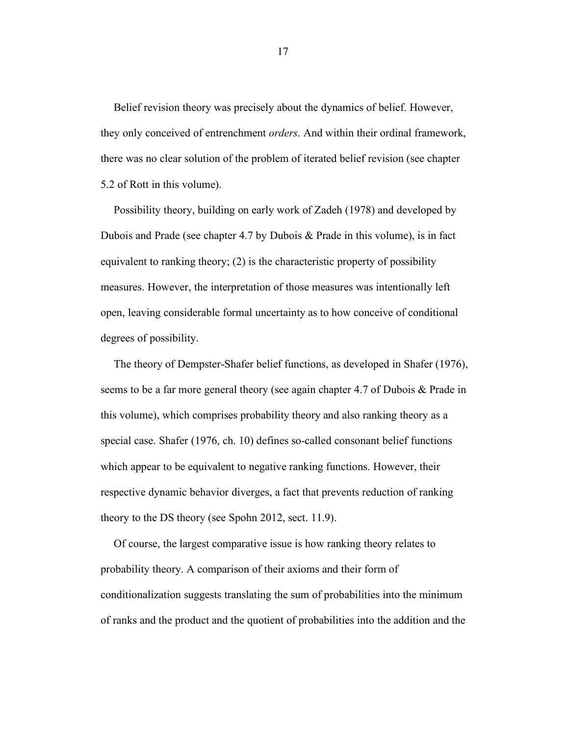Belief revision theory was precisely about the dynamics of belief. However, they only conceived of entrenchment *orders*. And within their ordinal framework, there was no clear solution of the problem of iterated belief revision (see chapter 5.2 of Rott in this volume).

Possibility theory, building on early work of Zadeh (1978) and developed by Dubois and Prade (see chapter 4.7 by Dubois & Prade in this volume), is in fact equivalent to ranking theory; (2) is the characteristic property of possibility measures. However, the interpretation of those measures was intentionally left open, leaving considerable formal uncertainty as to how conceive of conditional degrees of possibility.

The theory of Dempster-Shafer belief functions, as developed in Shafer (1976), seems to be a far more general theory (see again chapter 4.7 of Dubois & Prade in this volume), which comprises probability theory and also ranking theory as a special case. Shafer (1976, ch. 10) defines so-called consonant belief functions which appear to be equivalent to negative ranking functions. However, their respective dynamic behavior diverges, a fact that prevents reduction of ranking theory to the DS theory (see Spohn 2012, sect. 11.9).

Of course, the largest comparative issue is how ranking theory relates to probability theory. A comparison of their axioms and their form of conditionalization suggests translating the sum of probabilities into the minimum of ranks and the product and the quotient of probabilities into the addition and the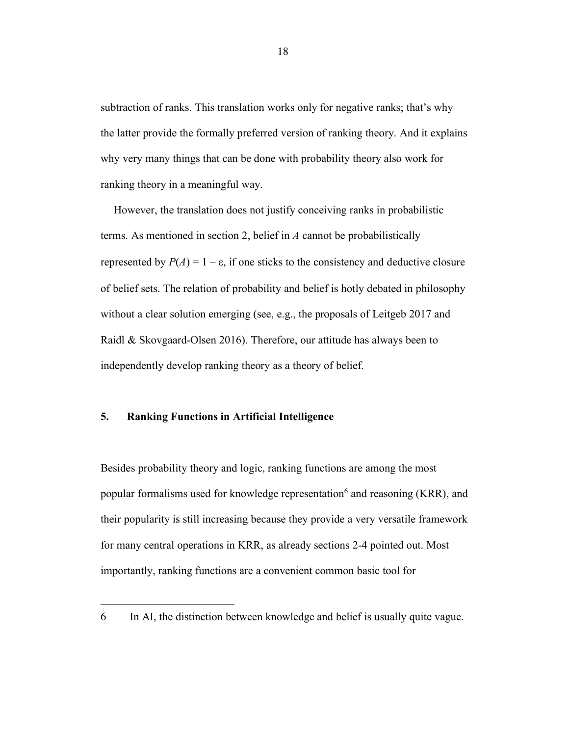subtraction of ranks. This translation works only for negative ranks; that's why the latter provide the formally preferred version of ranking theory. And it explains why very many things that can be done with probability theory also work for ranking theory in a meaningful way.

However, the translation does not justify conceiving ranks in probabilistic terms. As mentioned in section 2, belief in *A* cannot be probabilistically represented by  $P(A) = 1 - \varepsilon$ , if one sticks to the consistency and deductive closure of belief sets. The relation of probability and belief is hotly debated in philosophy without a clear solution emerging (see, e.g., the proposals of Leitgeb 2017 and Raidl & Skovgaard-Olsen 2016). Therefore, our attitude has always been to independently develop ranking theory as a theory of belief.

## **5. Ranking Functions in Artificial Intelligence**

 

Besides probability theory and logic, ranking functions are among the most popular formalisms used for knowledge representation<sup>6</sup> and reasoning (KRR), and their popularity is still increasing because they provide a very versatile framework for many central operations in KRR, as already sections 2-4 pointed out. Most importantly, ranking functions are a convenient common basic tool for

<sup>6</sup> In AI, the distinction between knowledge and belief is usually quite vague.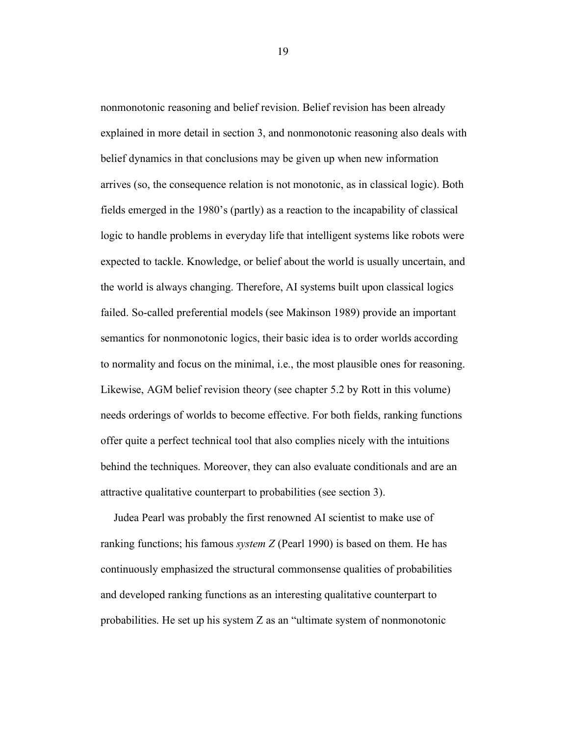nonmonotonic reasoning and belief revision. Belief revision has been already explained in more detail in section 3, and nonmonotonic reasoning also deals with belief dynamics in that conclusions may be given up when new information arrives (so, the consequence relation is not monotonic, as in classical logic). Both fields emerged in the 1980's (partly) as a reaction to the incapability of classical logic to handle problems in everyday life that intelligent systems like robots were expected to tackle. Knowledge, or belief about the world is usually uncertain, and the world is always changing. Therefore, AI systems built upon classical logics failed. So-called preferential models (see Makinson 1989) provide an important semantics for nonmonotonic logics, their basic idea is to order worlds according to normality and focus on the minimal, i.e., the most plausible ones for reasoning. Likewise, AGM belief revision theory (see chapter 5.2 by Rott in this volume) needs orderings of worlds to become effective. For both fields, ranking functions offer quite a perfect technical tool that also complies nicely with the intuitions behind the techniques. Moreover, they can also evaluate conditionals and are an attractive qualitative counterpart to probabilities (see section 3).

Judea Pearl was probably the first renowned AI scientist to make use of ranking functions; his famous *system Z* (Pearl 1990) is based on them. He has continuously emphasized the structural commonsense qualities of probabilities and developed ranking functions as an interesting qualitative counterpart to probabilities. He set up his system Z as an "ultimate system of nonmonotonic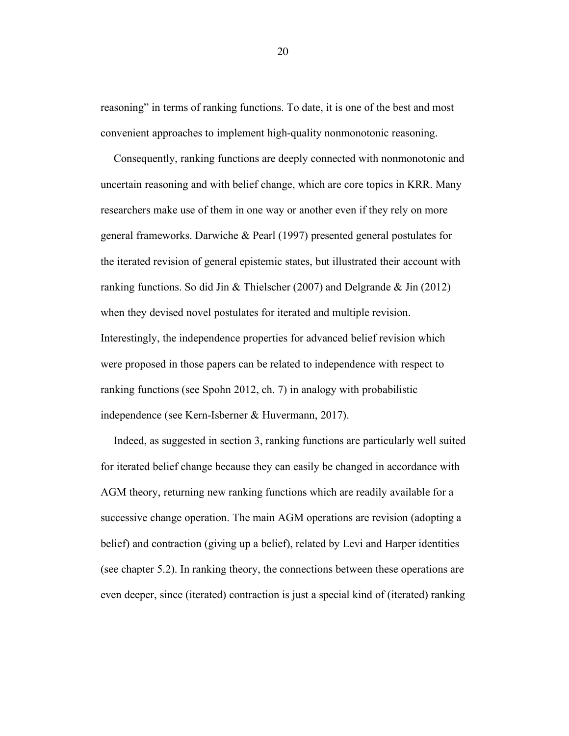reasoning" in terms of ranking functions. To date, it is one of the best and most convenient approaches to implement high-quality nonmonotonic reasoning.

Consequently, ranking functions are deeply connected with nonmonotonic and uncertain reasoning and with belief change, which are core topics in KRR. Many researchers make use of them in one way or another even if they rely on more general frameworks. Darwiche & Pearl (1997) presented general postulates for the iterated revision of general epistemic states, but illustrated their account with ranking functions. So did Jin & Thielscher (2007) and Delgrande & Jin (2012) when they devised novel postulates for iterated and multiple revision. Interestingly, the independence properties for advanced belief revision which were proposed in those papers can be related to independence with respect to ranking functions (see Spohn 2012, ch. 7) in analogy with probabilistic independence (see Kern-Isberner & Huvermann, 2017).

Indeed, as suggested in section 3, ranking functions are particularly well suited for iterated belief change because they can easily be changed in accordance with AGM theory, returning new ranking functions which are readily available for a successive change operation. The main AGM operations are revision (adopting a belief) and contraction (giving up a belief), related by Levi and Harper identities (see chapter 5.2). In ranking theory, the connections between these operations are even deeper, since (iterated) contraction is just a special kind of (iterated) ranking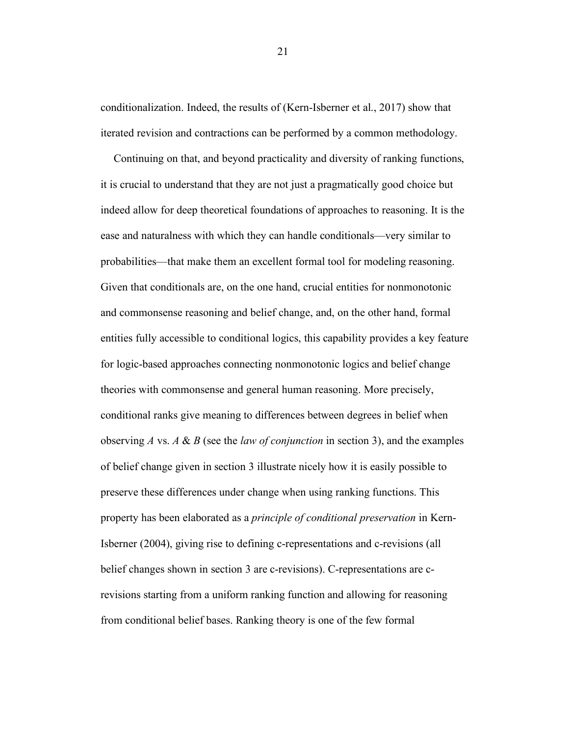conditionalization. Indeed, the results of (Kern-Isberner et al., 2017) show that iterated revision and contractions can be performed by a common methodology.

Continuing on that, and beyond practicality and diversity of ranking functions, it is crucial to understand that they are not just a pragmatically good choice but indeed allow for deep theoretical foundations of approaches to reasoning. It is the ease and naturalness with which they can handle conditionals—very similar to probabilities—that make them an excellent formal tool for modeling reasoning. Given that conditionals are, on the one hand, crucial entities for nonmonotonic and commonsense reasoning and belief change, and, on the other hand, formal entities fully accessible to conditional logics, this capability provides a key feature for logic-based approaches connecting nonmonotonic logics and belief change theories with commonsense and general human reasoning. More precisely, conditional ranks give meaning to differences between degrees in belief when observing *A* vs. *A* & *B* (see the *law of conjunction* in section 3), and the examples of belief change given in section 3 illustrate nicely how it is easily possible to preserve these differences under change when using ranking functions. This property has been elaborated as a *principle of conditional preservation* in Kern-Isberner (2004), giving rise to defining c-representations and c-revisions (all belief changes shown in section 3 are c-revisions). C-representations are crevisions starting from a uniform ranking function and allowing for reasoning from conditional belief bases. Ranking theory is one of the few formal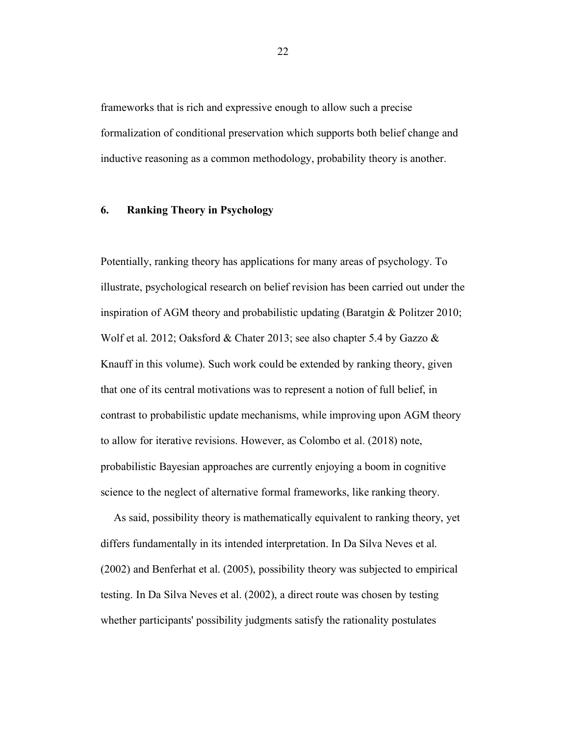frameworks that is rich and expressive enough to allow such a precise formalization of conditional preservation which supports both belief change and inductive reasoning as a common methodology, probability theory is another.

## **6. Ranking Theory in Psychology**

Potentially, ranking theory has applications for many areas of psychology. To illustrate, psychological research on belief revision has been carried out under the inspiration of AGM theory and probabilistic updating (Baratgin & Politzer 2010; Wolf et al. 2012; Oaksford & Chater 2013; see also chapter 5.4 by Gazzo & Knauff in this volume). Such work could be extended by ranking theory, given that one of its central motivations was to represent a notion of full belief, in contrast to probabilistic update mechanisms, while improving upon AGM theory to allow for iterative revisions. However, as Colombo et al. (2018) note, probabilistic Bayesian approaches are currently enjoying a boom in cognitive science to the neglect of alternative formal frameworks, like ranking theory.

As said, possibility theory is mathematically equivalent to ranking theory, yet differs fundamentally in its intended interpretation. In Da Silva Neves et al. (2002) and Benferhat et al. (2005), possibility theory was subjected to empirical testing. In Da Silva Neves et al. (2002), a direct route was chosen by testing whether participants' possibility judgments satisfy the rationality postulates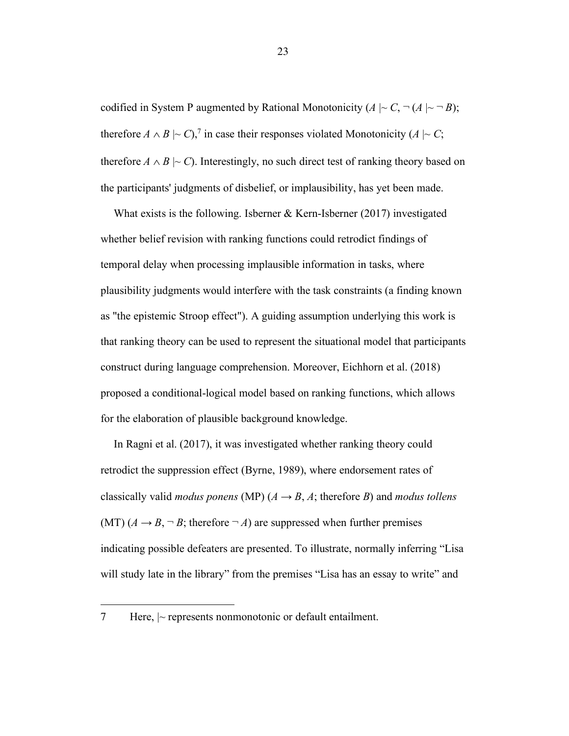codified in System P augmented by Rational Monotonicity  $(A \mid C, \neg(A \mid \neg B))$ ; therefore  $A \wedge B \mid \sim C$ ,<sup>7</sup> in case their responses violated Monotonicity ( $A \mid \sim C$ ; therefore  $A \wedge B \mid\sim C$ ). Interestingly, no such direct test of ranking theory based on the participants' judgments of disbelief, or implausibility, has yet been made.

What exists is the following. Isberner  $&$  Kern-Isberner (2017) investigated whether belief revision with ranking functions could retrodict findings of temporal delay when processing implausible information in tasks, where plausibility judgments would interfere with the task constraints (a finding known as "the epistemic Stroop effect"). A guiding assumption underlying this work is that ranking theory can be used to represent the situational model that participants construct during language comprehension. Moreover, Eichhorn et al. (2018) proposed a conditional-logical model based on ranking functions, which allows for the elaboration of plausible background knowledge.

In Ragni et al. (2017), it was investigated whether ranking theory could retrodict the suppression effect (Byrne, 1989), where endorsement rates of classically valid *modus ponens* (MP)  $(A \rightarrow B, A;$  therefore *B*) and *modus tollens* (MT)  $(A \rightarrow B, \neg B$ ; therefore  $\neg A$ ) are suppressed when further premises indicating possible defeaters are presented. To illustrate, normally inferring "Lisa will study late in the library" from the premises "Lisa has an essay to write" and

<sup>7</sup> Here, |~ represents nonmonotonic or default entailment.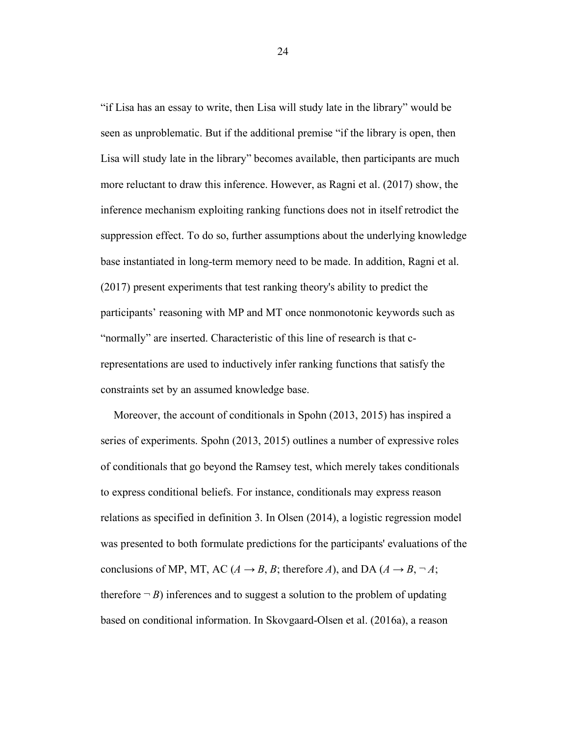"if Lisa has an essay to write, then Lisa will study late in the library" would be seen as unproblematic. But if the additional premise "if the library is open, then Lisa will study late in the library" becomes available, then participants are much more reluctant to draw this inference. However, as Ragni et al. (2017) show, the inference mechanism exploiting ranking functions does not in itself retrodict the suppression effect. To do so, further assumptions about the underlying knowledge base instantiated in long-term memory need to be made. In addition, Ragni et al. (2017) present experiments that test ranking theory's ability to predict the participants' reasoning with MP and MT once nonmonotonic keywords such as "normally" are inserted. Characteristic of this line of research is that crepresentations are used to inductively infer ranking functions that satisfy the constraints set by an assumed knowledge base.

Moreover, the account of conditionals in Spohn (2013, 2015) has inspired a series of experiments. Spohn (2013, 2015) outlines a number of expressive roles of conditionals that go beyond the Ramsey test, which merely takes conditionals to express conditional beliefs. For instance, conditionals may express reason relations as specified in definition 3. In Olsen (2014), a logistic regression model was presented to both formulate predictions for the participants' evaluations of the conclusions of MP, MT, AC ( $A \rightarrow B$ ,  $B$ ; therefore  $A$ ), and DA ( $A \rightarrow B$ ,  $\neg A$ ; therefore  $\neg B$ ) inferences and to suggest a solution to the problem of updating based on conditional information. In Skovgaard-Olsen et al. (2016a), a reason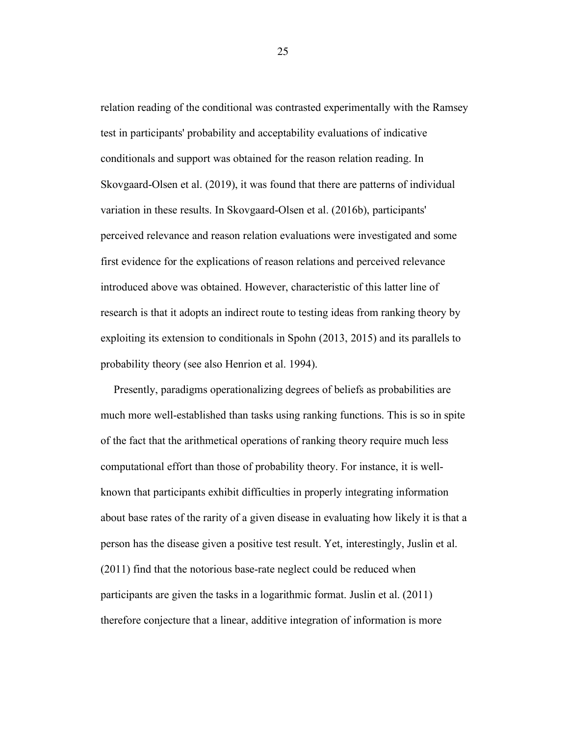relation reading of the conditional was contrasted experimentally with the Ramsey test in participants' probability and acceptability evaluations of indicative conditionals and support was obtained for the reason relation reading. In Skovgaard-Olsen et al. (2019), it was found that there are patterns of individual variation in these results. In Skovgaard-Olsen et al. (2016b), participants' perceived relevance and reason relation evaluations were investigated and some first evidence for the explications of reason relations and perceived relevance introduced above was obtained. However, characteristic of this latter line of research is that it adopts an indirect route to testing ideas from ranking theory by exploiting its extension to conditionals in Spohn (2013, 2015) and its parallels to probability theory (see also Henrion et al. 1994).

Presently, paradigms operationalizing degrees of beliefs as probabilities are much more well-established than tasks using ranking functions. This is so in spite of the fact that the arithmetical operations of ranking theory require much less computational effort than those of probability theory. For instance, it is wellknown that participants exhibit difficulties in properly integrating information about base rates of the rarity of a given disease in evaluating how likely it is that a person has the disease given a positive test result. Yet, interestingly, Juslin et al. (2011) find that the notorious base-rate neglect could be reduced when participants are given the tasks in a logarithmic format. Juslin et al. (2011) therefore conjecture that a linear, additive integration of information is more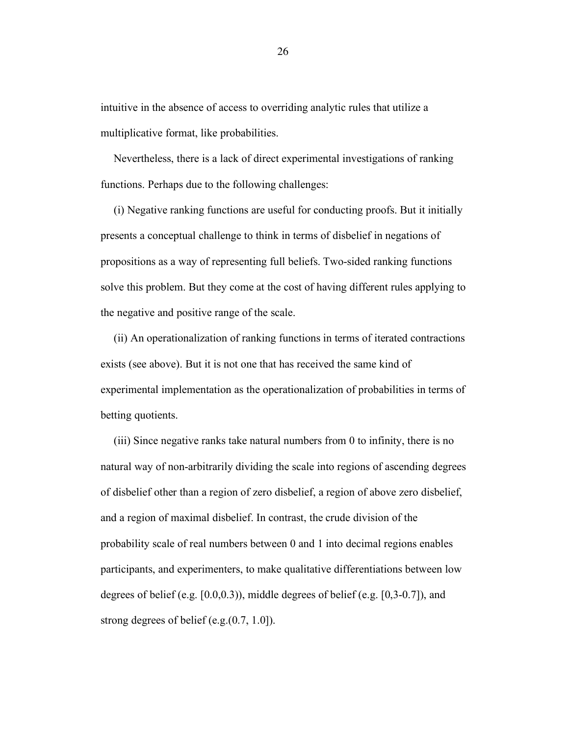intuitive in the absence of access to overriding analytic rules that utilize a multiplicative format, like probabilities.

Nevertheless, there is a lack of direct experimental investigations of ranking functions. Perhaps due to the following challenges:

(i) Negative ranking functions are useful for conducting proofs. But it initially presents a conceptual challenge to think in terms of disbelief in negations of propositions as a way of representing full beliefs. Two-sided ranking functions solve this problem. But they come at the cost of having different rules applying to the negative and positive range of the scale.

(ii) An operationalization of ranking functions in terms of iterated contractions exists (see above). But it is not one that has received the same kind of experimental implementation as the operationalization of probabilities in terms of betting quotients.

(iii) Since negative ranks take natural numbers from 0 to infinity, there is no natural way of non-arbitrarily dividing the scale into regions of ascending degrees of disbelief other than a region of zero disbelief, a region of above zero disbelief, and a region of maximal disbelief. In contrast, the crude division of the probability scale of real numbers between 0 and 1 into decimal regions enables participants, and experimenters, to make qualitative differentiations between low degrees of belief (e.g.  $[0.0, 0.3)$ ), middle degrees of belief (e.g.  $[0.3-0.7]$ ), and strong degrees of belief (e.g.(0.7, 1.0]).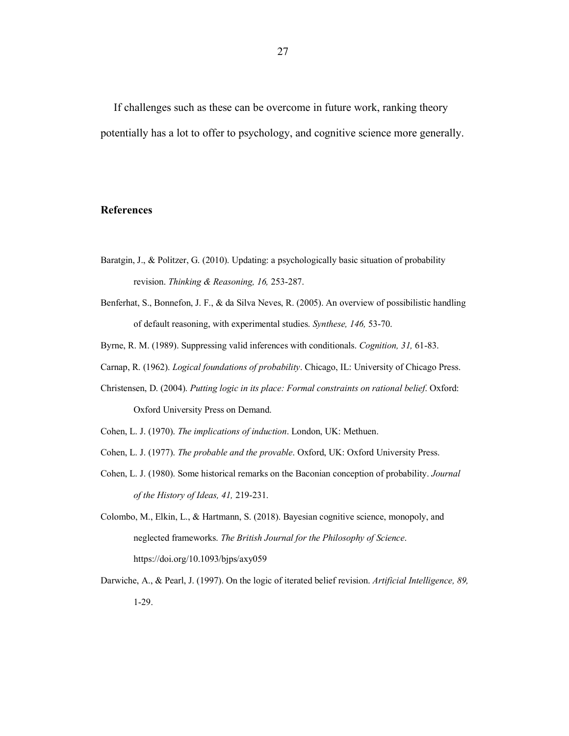If challenges such as these can be overcome in future work, ranking theory potentially has a lot to offer to psychology, and cognitive science more generally.

#### **References**

- Baratgin, J., & Politzer, G. (2010). Updating: a psychologically basic situation of probability revision. *Thinking & Reasoning, 16,* 253-287.
- Benferhat, S., Bonnefon, J. F., & da Silva Neves, R. (2005). An overview of possibilistic handling of default reasoning, with experimental studies. *Synthese, 146,* 53-70.
- Byrne, R. M. (1989). Suppressing valid inferences with conditionals. *Cognition, 31,* 61-83.
- Carnap, R. (1962). *Logical foundations of probability*. Chicago, IL: University of Chicago Press.
- Christensen, D. (2004). *Putting logic in its place: Formal constraints on rational belief*. Oxford: Oxford University Press on Demand.
- Cohen, L. J. (1970). *The implications of induction*. London, UK: Methuen.
- Cohen, L. J. (1977). *The probable and the provable*. Oxford, UK: Oxford University Press.
- Cohen, L. J. (1980). Some historical remarks on the Baconian conception of probability. *Journal of the History of Ideas, 41,* 219-231.
- Colombo, M., Elkin, L., & Hartmann, S. (2018). Bayesian cognitive science, monopoly, and neglected frameworks. *The British Journal for the Philosophy of Science*. https://doi.org/10.1093/bjps/axy059
- Darwiche, A., & Pearl, J. (1997). On the logic of iterated belief revision. *Artificial Intelligence, 89,* 1-29.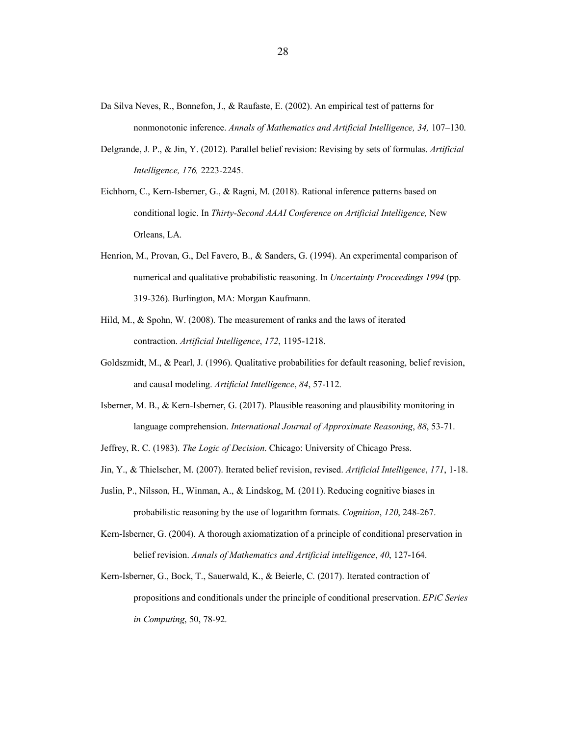- Da Silva Neves, R., Bonnefon, J., & Raufaste, E. (2002). An empirical test of patterns for nonmonotonic inference. *Annals of Mathematics and Artificial Intelligence, 34,* 107–130.
- Delgrande, J. P., & Jin, Y. (2012). Parallel belief revision: Revising by sets of formulas. *Artificial Intelligence, 176,* 2223-2245.
- Eichhorn, C., Kern-Isberner, G., & Ragni, M. (2018). Rational inference patterns based on conditional logic. In *Thirty-Second AAAI Conference on Artificial Intelligence,* New Orleans, LA.
- Henrion, M., Provan, G., Del Favero, B., & Sanders, G. (1994). An experimental comparison of numerical and qualitative probabilistic reasoning. In *Uncertainty Proceedings 1994* (pp. 319-326). Burlington, MA: Morgan Kaufmann.
- Hild, M., & Spohn, W. (2008). The measurement of ranks and the laws of iterated contraction. *Artificial Intelligence*, *172*, 1195-1218.
- Goldszmidt, M., & Pearl, J. (1996). Qualitative probabilities for default reasoning, belief revision, and causal modeling. *Artificial Intelligence*, *84*, 57-112.
- Isberner, M. B., & Kern-Isberner, G. (2017). Plausible reasoning and plausibility monitoring in language comprehension. *International Journal of Approximate Reasoning*, *88*, 53-71.
- Jeffrey, R. C. (1983). *The Logic of Decision*. Chicago: University of Chicago Press.
- Jin, Y., & Thielscher, M. (2007). Iterated belief revision, revised. *Artificial Intelligence*, *171*, 1-18.
- Juslin, P., Nilsson, H., Winman, A., & Lindskog, M. (2011). Reducing cognitive biases in probabilistic reasoning by the use of logarithm formats. *Cognition*, *120*, 248-267.
- Kern-Isberner, G. (2004). A thorough axiomatization of a principle of conditional preservation in belief revision. *Annals of Mathematics and Artificial intelligence*, *40*, 127-164.
- Kern-Isberner, G., Bock, T., Sauerwald, K., & Beierle, C. (2017). Iterated contraction of propositions and conditionals under the principle of conditional preservation. *EPiC Series in Computing*, 50, 78-92.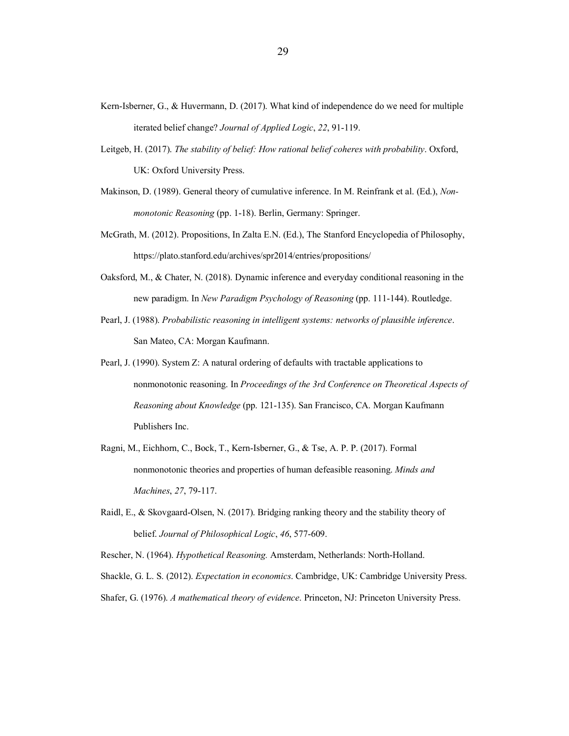- Kern-Isberner, G., & Huvermann, D. (2017). What kind of independence do we need for multiple iterated belief change? *Journal of Applied Logic*, *22*, 91-119.
- Leitgeb, H. (2017). *The stability of belief: How rational belief coheres with probability*. Oxford, UK: Oxford University Press.
- Makinson, D. (1989). General theory of cumulative inference. In M. Reinfrank et al. (Ed.), *Nonmonotonic Reasoning* (pp. 1-18). Berlin, Germany: Springer.
- McGrath, M. (2012). Propositions, In Zalta E.N. (Ed.), The Stanford Encyclopedia of Philosophy, https://plato.stanford.edu/archives/spr2014/entries/propositions/
- Oaksford, M., & Chater, N. (2018). Dynamic inference and everyday conditional reasoning in the new paradigm. In *New Paradigm Psychology of Reasoning* (pp. 111-144). Routledge.
- Pearl, J. (1988). *Probabilistic reasoning in intelligent systems: networks of plausible inference*. San Mateo, CA: Morgan Kaufmann.
- Pearl, J. (1990). System Z: A natural ordering of defaults with tractable applications to nonmonotonic reasoning. In *Proceedings of the 3rd Conference on Theoretical Aspects of Reasoning about Knowledge* (pp. 121-135). San Francisco, CA. Morgan Kaufmann Publishers Inc.
- Ragni, M., Eichhorn, C., Bock, T., Kern-Isberner, G., & Tse, A. P. P. (2017). Formal nonmonotonic theories and properties of human defeasible reasoning. *Minds and Machines*, *27*, 79-117.
- Raidl, E., & Skovgaard-Olsen, N. (2017). Bridging ranking theory and the stability theory of belief. *Journal of Philosophical Logic*, *46*, 577-609.
- Rescher, N. (1964). *Hypothetical Reasoning.* Amsterdam, Netherlands: North-Holland.
- Shackle, G. L. S. (2012). *Expectation in economics*. Cambridge, UK: Cambridge University Press.
- Shafer, G. (1976). *A mathematical theory of evidence*. Princeton, NJ: Princeton University Press.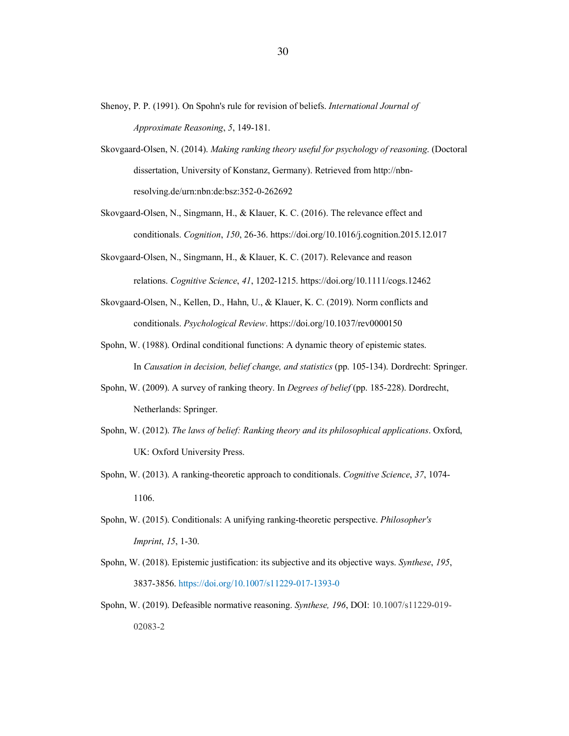- Shenoy, P. P. (1991). On Spohn's rule for revision of beliefs. *International Journal of Approximate Reasoning*, *5*, 149-181.
- Skovgaard-Olsen, N. (2014). *Making ranking theory useful for psychology of reasoning*. (Doctoral dissertation, University of Konstanz, Germany). Retrieved from http://nbnresolving.de/urn:nbn:de:bsz:352-0-262692
- Skovgaard-Olsen, N., Singmann, H., & Klauer, K. C. (2016). The relevance effect and conditionals. *Cognition*, *150*, 26-36. https://doi.org/10.1016/j.cognition.2015.12.017
- Skovgaard-Olsen, N., Singmann, H., & Klauer, K. C. (2017). Relevance and reason relations. *Cognitive Science*, *41*, 1202-1215. https://doi.org/10.1111/cogs.12462
- Skovgaard-Olsen, N., Kellen, D., Hahn, U., & Klauer, K. C. (2019). Norm conflicts and conditionals. *Psychological Review*. https://doi.org/10.1037/rev0000150
- Spohn, W. (1988). Ordinal conditional functions: A dynamic theory of epistemic states. In *Causation in decision, belief change, and statistics* (pp. 105-134). Dordrecht: Springer.
- Spohn, W. (2009). A survey of ranking theory. In *Degrees of belief* (pp. 185-228). Dordrecht, Netherlands: Springer.
- Spohn, W. (2012). *The laws of belief: Ranking theory and its philosophical applications*. Oxford, UK: Oxford University Press.
- Spohn, W. (2013). A ranking-theoretic approach to conditionals. *Cognitive Science*, *37*, 1074- 1106.
- Spohn, W. (2015). Conditionals: A unifying ranking-theoretic perspective. *Philosopher's Imprint*, *15*, 1-30.
- Spohn, W. (2018). Epistemic justification: its subjective and its objective ways. *Synthese*, *195*, 3837-3856. https://doi.org/10.1007/s11229-017-1393-0
- Spohn, W. (2019). Defeasible normative reasoning. *Synthese, 196*, DOI: 10.1007/s11229-019- 02083-2